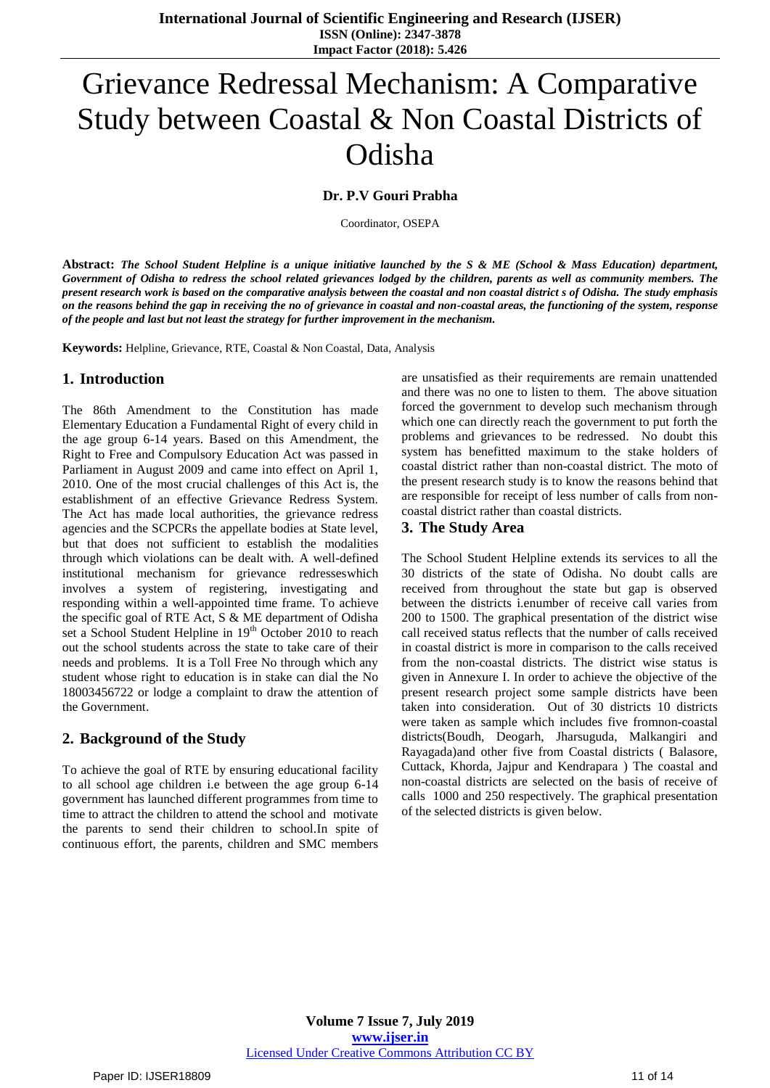# Grievance Redressal Mechanism: A Comparative Study between Coastal & Non Coastal Districts of Odisha

## **Dr. P.V Gouri Prabha**

Coordinator, OSEPA

**Abstract:** *The School Student Helpline is a unique initiative launched by the S & ME (School & Mass Education) department, Government of Odisha to redress the school related grievances lodged by the children, parents as well as community members. The present research work is based on the comparative analysis between the coastal and non coastal district s of Odisha. The study emphasis on the reasons behind the gap in receiving the no of grievance in coastal and non-coastal areas, the functioning of the system, response of the people and last but not least the strategy for further improvement in the mechanism.*

**Keywords:** Helpline, Grievance, RTE, Coastal & Non Coastal, Data, Analysis

## **1. Introduction**

The 86th Amendment to the Constitution has made Elementary Education a Fundamental Right of every child in the age group 6-14 years. Based on this Amendment, the Right to Free and Compulsory Education Act was passed in Parliament in August 2009 and came into effect on April 1, 2010. One of the most crucial challenges of this Act is, the establishment of an effective Grievance Redress System. The Act has made local authorities, the grievance redress agencies and the SCPCRs the appellate bodies at State level, but that does not sufficient to establish the modalities through which violations can be dealt with. A well-defined institutional mechanism for grievance redresseswhich involves a system of registering, investigating and responding within a well-appointed time frame. To achieve the specific goal of RTE Act, S & ME department of Odisha set a School Student Helpline in 19<sup>th</sup> October 2010 to reach out the school students across the state to take care of their needs and problems. It is a Toll Free No through which any student whose right to education is in stake can dial the No 18003456722 or lodge a complaint to draw the attention of the Government.

# **2. Background of the Study**

To achieve the goal of RTE by ensuring educational facility to all school age children i.e between the age group 6-14 government has launched different programmes from time to time to attract the children to attend the school and motivate the parents to send their children to school.In spite of continuous effort, the parents, children and SMC members

are unsatisfied as their requirements are remain unattended and there was no one to listen to them. The above situation forced the government to develop such mechanism through which one can directly reach the government to put forth the problems and grievances to be redressed. No doubt this system has benefitted maximum to the stake holders of coastal district rather than non-coastal district. The moto of the present research study is to know the reasons behind that are responsible for receipt of less number of calls from noncoastal district rather than coastal districts.

## **3. The Study Area**

The School Student Helpline extends its services to all the 30 districts of the state of Odisha. No doubt calls are received from throughout the state but gap is observed between the districts i.enumber of receive call varies from 200 to 1500. The graphical presentation of the district wise call received status reflects that the number of calls received in coastal district is more in comparison to the calls received from the non-coastal districts. The district wise status is given in Annexure I. In order to achieve the objective of the present research project some sample districts have been taken into consideration. Out of 30 districts 10 districts were taken as sample which includes five fromnon-coastal districts(Boudh, Deogarh, Jharsuguda, Malkangiri and Rayagada)and other five from Coastal districts ( Balasore, Cuttack, Khorda, Jajpur and Kendrapara ) The coastal and non-coastal districts are selected on the basis of receive of calls 1000 and 250 respectively. The graphical presentation of the selected districts is given below.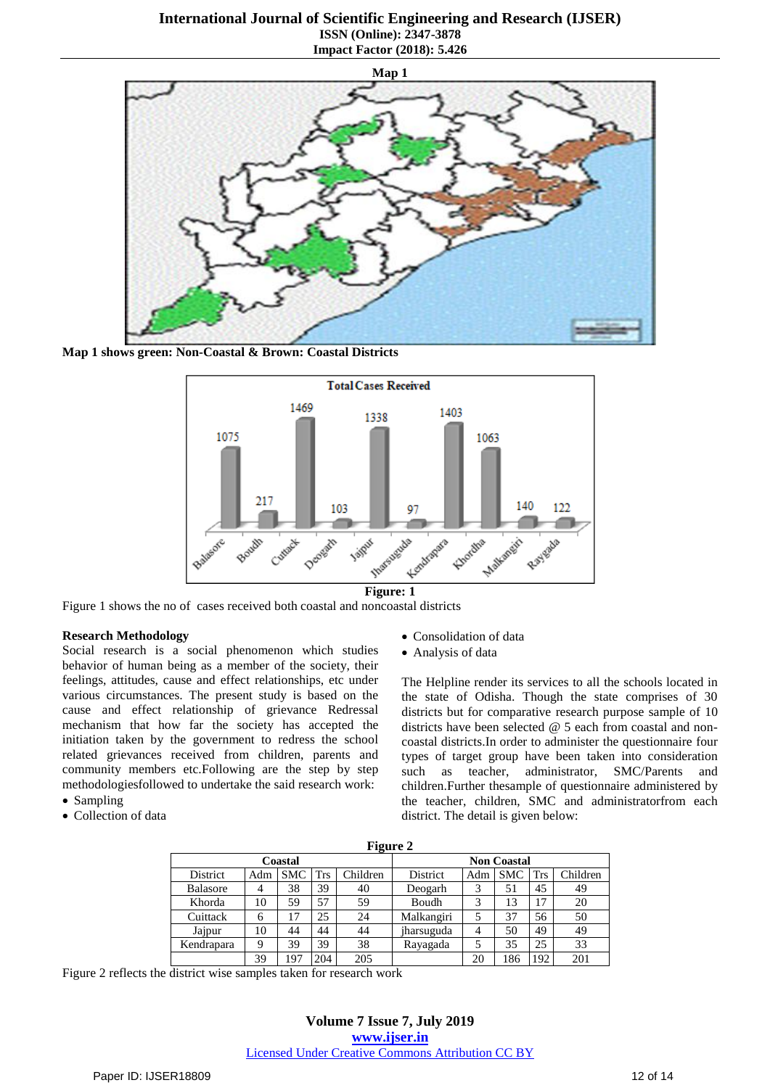**Map 1**

**Map 1 shows green: Non-Coastal & Brown: Coastal Districts**



Figure 1 shows the no of cases received both coastal and noncoastal districts

#### **Research Methodology**

Social research is a social phenomenon which studies behavior of human being as a member of the society, their feelings, attitudes, cause and effect relationships, etc under various circumstances. The present study is based on the cause and effect relationship of grievance Redressal mechanism that how far the society has accepted the initiation taken by the government to redress the school related grievances received from children, parents and community members etc.Following are the step by step methodologiesfollowed to undertake the said research work:

- Sampling
- Collection of data
- Consolidation of data
- Analysis of data

The Helpline render its services to all the schools located in the state of Odisha. Though the state comprises of 30 districts but for comparative research purpose sample of 10 districts have been selected @ 5 each from coastal and noncoastal districts.In order to administer the questionnaire four types of target group have been taken into consideration such as teacher, administrator, SMC/Parents and children.Further thesample of questionnaire administered by the teacher, children, SMC and administratorfrom each district. The detail is given below:

| -               |     |            |            |          |                    |     |            |            |          |  |  |  |
|-----------------|-----|------------|------------|----------|--------------------|-----|------------|------------|----------|--|--|--|
| Coastal         |     |            |            |          | <b>Non Coastal</b> |     |            |            |          |  |  |  |
| District        | Adm | <b>SMC</b> | <b>Trs</b> | Children | District           | Adm | <b>SMC</b> | <b>Trs</b> | Children |  |  |  |
| <b>Balasore</b> |     | 38         | 39         | 40       | Deogarh            |     | 51         | 45         | 49       |  |  |  |
| Khorda          | 10  | 59         | 57         | 59       | Boudh              | 2   | 13         | 17         | 20       |  |  |  |
| Cuittack        | 6   | 17         | 25         | 24       | Malkangiri         |     | 37         | 56         | 50       |  |  |  |
| Jajpur          | 10  | 44         | 44         | 44       | jharsuguda         | 4   | 50         | 49         | 49       |  |  |  |
| Kendrapara      | 9   | 39         | 39<br>38   |          | Rayagada           |     | 35         | 25         | 33       |  |  |  |
|                 | 39  | 197        | 204        | 205      |                    | 20  | 186        | 192        | 201      |  |  |  |

Figure 2 reflects the district wise samples taken for research work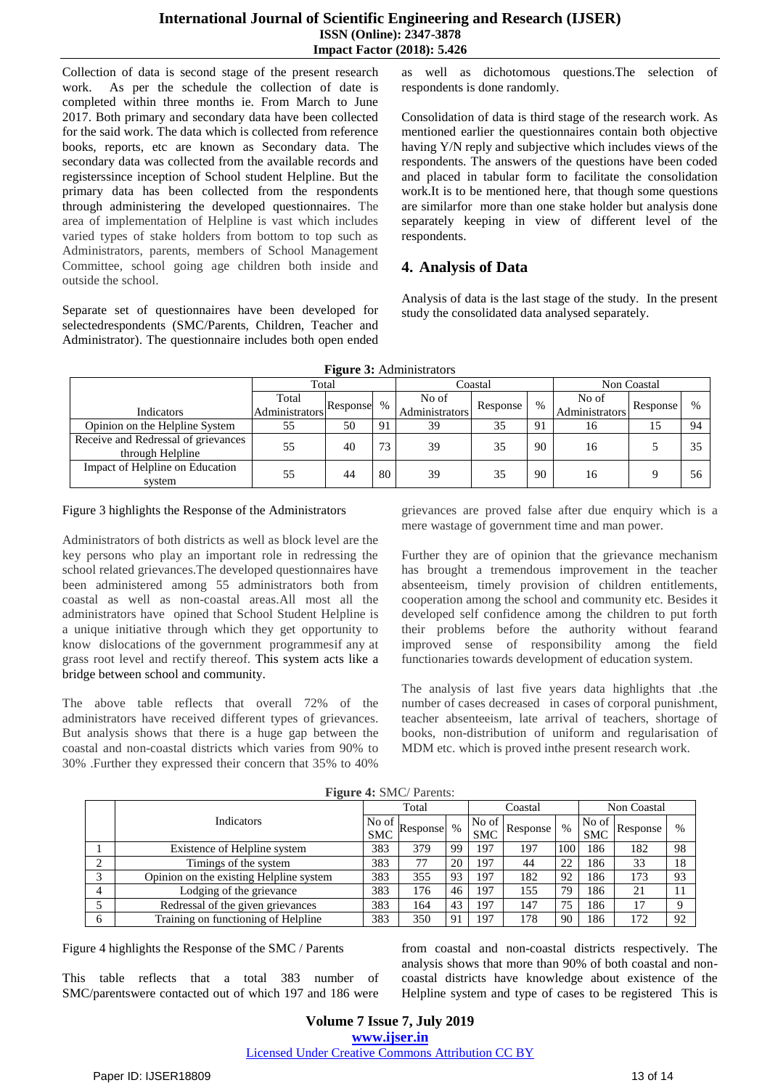# **International Journal of Scientific Engineering and Research (IJSER) ISSN (Online): 2347-3878 Impact Factor (2018): 5.426**

Collection of data is second stage of the present research work. As per the schedule the collection of date is completed within three months ie. From March to June 2017. Both primary and secondary data have been collected for the said work. The data which is collected from reference books, reports, etc are known as Secondary data. The secondary data was collected from the available records and registerssince inception of School student Helpline. But the primary data has been collected from the respondents through administering the developed questionnaires. The area of implementation of Helpline is vast which includes varied types of stake holders from bottom to top such as Administrators, parents, members of School Management Committee, school going age children both inside and outside the school.

Separate set of questionnaires have been developed for selectedrespondents (SMC/Parents, Children, Teacher and Administrator). The questionnaire includes both open ended

as well as dichotomous questions.The selection of respondents is done randomly.

Consolidation of data is third stage of the research work. As mentioned earlier the questionnaires contain both objective having Y/N reply and subjective which includes views of the respondents. The answers of the questions have been coded and placed in tabular form to facilitate the consolidation work.It is to be mentioned here, that though some questions are similarfor more than one stake holder but analysis done separately keeping in view of different level of the respondents.

# **4. Analysis of Data**

Analysis of data is the last stage of the study. In the present study the consolidated data analysed separately.

| <b>Figure 3:</b> Administrators                         |                     |    |    |                |          |             |                |          |      |  |  |  |
|---------------------------------------------------------|---------------------|----|----|----------------|----------|-------------|----------------|----------|------|--|--|--|
|                                                         | Total               |    |    |                | Coastal  | Non Coastal |                |          |      |  |  |  |
|                                                         | Total<br>Response % |    |    | No of          | Response | $\%$        | No of          | Response | $\%$ |  |  |  |
| Indicators                                              | Administrators      |    |    | Administrators |          |             | Administrators |          |      |  |  |  |
| Opinion on the Helpline System                          | 55                  | 50 | 91 | 39             | 35       | -91         | 16             | 15       | 94   |  |  |  |
| Receive and Redressal of grievances<br>through Helpline | 55                  | 40 | 73 | 39             | 35       | 90          | 16             |          | 35   |  |  |  |
| Impact of Helpline on Education<br>system               | 55                  | 44 | 80 | 39             | 35       | 90          | 16             |          | 56   |  |  |  |

**Figure 3:** Administrators

#### Figure 3 highlights the Response of the Administrators

Administrators of both districts as well as block level are the key persons who play an important role in redressing the school related grievances.The developed questionnaires have been administered among 55 administrators both from coastal as well as non-coastal areas.All most all the administrators have opined that School Student Helpline is a unique initiative through which they get opportunity to know dislocations of the government programmesif any at grass root level and rectify thereof. This system acts like a bridge between school and community.

The above table reflects that overall 72% of the administrators have received different types of grievances. But analysis shows that there is a huge gap between the coastal and non-coastal districts which varies from 90% to 30% .Further they expressed their concern that 35% to 40%

grievances are proved false after due enquiry which is a mere wastage of government time and man power.

Further they are of opinion that the grievance mechanism has brought a tremendous improvement in the teacher absenteeism, timely provision of children entitlements, cooperation among the school and community etc. Besides it developed self confidence among the children to put forth their problems before the authority without fearand improved sense of responsibility among the field functionaries towards development of education system.

The analysis of last five years data highlights that .the number of cases decreased in cases of corporal punishment, teacher absenteeism, late arrival of teachers, shortage of books, non-distribution of uniform and regularisation of MDM etc. which is proved inthe present research work.

|   | $\overline{\phantom{a}}$                |     |          |      |                     |          |      |                     |          |             |  |
|---|-----------------------------------------|-----|----------|------|---------------------|----------|------|---------------------|----------|-------------|--|
|   |                                         |     | Total    |      |                     | Coastal  |      | Non Coastal         |          |             |  |
|   | Indicators<br>No of<br><b>SMC</b>       |     | Response | $\%$ | No of<br><b>SMC</b> | Response | $\%$ | No of<br><b>SMC</b> | Response | $\%$        |  |
|   | Existence of Helpline system            | 383 | 379      | 99   | 197                 | 197      | 100  | 186                 | 182      | 98          |  |
| ◠ | Timings of the system                   | 383 | 77       | 20   | 197                 | 44       | 22   | 186                 | 33       | 18          |  |
| 2 | Opinion on the existing Helpline system | 383 | 355      | 93   | 197                 | 182      | 92   | 186                 | 173      | 93          |  |
|   | Lodging of the grievance                | 383 | 176      | 46   | 197                 | 155      | 79   | 186                 | 21       |             |  |
|   | Redressal of the given grievances       | 383 | 164      | 43   | 197                 | 147      | 75   | 186                 | 17       | $\mathbf Q$ |  |
| 6 | Training on functioning of Helpline     | 383 | 350      |      | 197                 | 178      | 90   | 186                 | 172      | 92          |  |

**Figure 4:** SMC/ Parents:

Figure 4 highlights the Response of the SMC / Parents

This table reflects that a total 383 number of SMC/parentswere contacted out of which 197 and 186 were from coastal and non-coastal districts respectively. The analysis shows that more than 90% of both coastal and noncoastal districts have knowledge about existence of the Helpline system and type of cases to be registered This is